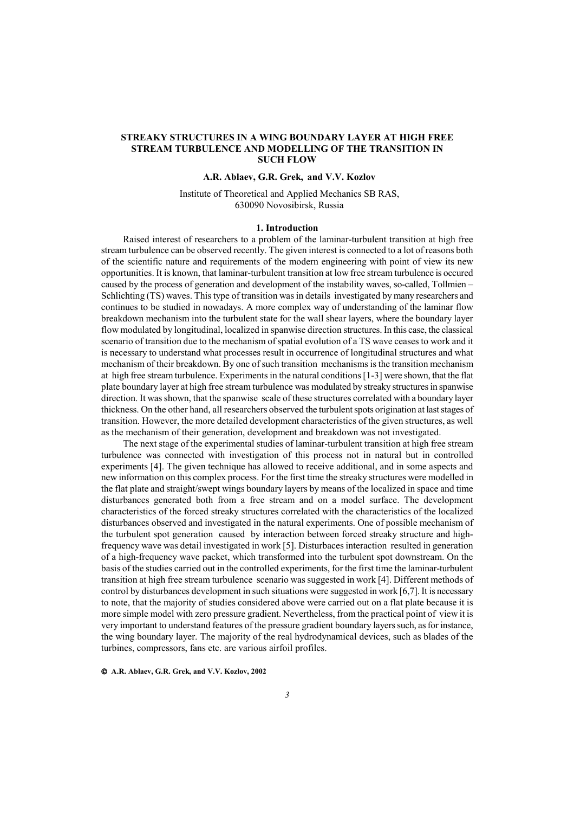# **STREAKY STRUCTURES IN A WING BOUNDARY LAYER AT HIGH FREE STREAM TURBULENCE AND MODELLING OF THE TRANSITION IN SUCH FLOW**

# **A.R. Ablaev, G.R. Grek, and V.V. Kozlov**

Institute of Theoretical and Applied Mechanics SB RAS, 630090 Novosibirsk, Russia

### **1. Introduction**

Raised interest of researchers to a problem of the laminar-turbulent transition at high free stream turbulence can be observed recently. The given interest is connected to a lot of reasons both of the scientific nature and requirements of the modern engineering with point of view its new opportunities. It is known, that laminar-turbulent transition at low free stream turbulence is occured caused by the process of generation and development of the instability waves, so-called, Tollmien – Schlichting (TS) waves. This type of transition was in details investigated by many researchers and continues to be studied in nowadays. A more complex way of understanding of the laminar flow breakdown mechanism into the turbulent state for the wall shear layers, where the boundary layer flow modulated by longitudinal, localized in spanwise direction structures. In this case, the classical scenario of transition due to the mechanism of spatial evolution of a TS wave ceases to work and it is necessary to understand what processes result in occurrence of longitudinal structures and what mechanism of their breakdown. By one of such transition mechanisms is the transition mechanism at high free stream turbulence. Experiments in the natural conditions [1-3] were shown, that the flat plate boundary layer at high free stream turbulence was modulated by streaky structures in spanwise direction. It was shown, that the spanwise scale of these structures correlated with a boundary layer thickness. On the other hand, all researchers observed the turbulent spots origination at last stages of transition. However, the more detailed development characteristics of the given structures, as well as the mechanism of their generation, development and breakdown was not investigated.

The next stage of the experimental studies of laminar-turbulent transition at high free stream turbulence was connected with investigation of this process not in natural but in controlled experiments [4]. The given technique has allowed to receive additional, and in some aspects and new information on this complex process. For the first time the streaky structures were modelled in the flat plate and straight/swept wings boundary layers by means of the localized in space and time disturbances generated both from a free stream and on a model surface. The development characteristics of the forced streaky structures correlated with the characteristics of the localized disturbances observed and investigated in the natural experiments. One of possible mechanism of the turbulent spot generation caused by interaction between forced streaky structure and highfrequency wave was detail investigated in work [5]. Disturbaces interaction resulted in generation of a high-frequency wave packet, which transformed into the turbulent spot downstream. On the basis of the studies carried out in the controlled experiments, for the first time the laminar-turbulent transition at high free stream turbulence scenario was suggested in work [4]. Different methods of control by disturbances development in such situations were suggested in work [6,7]. It is necessary to note, that the majority of studies considered above were carried out on a flat plate because it is more simple model with zero pressure gradient. Nevertheless, from the practical point of view it is very important to understand features of the pressure gradient boundary layers such, as for instance, the wing boundary layer. The majority of the real hydrodynamical devices, such as blades of the turbines, compressors, fans etc. are various airfoil profiles.

 **A.R. Ablaev, G.R. Grek, and V.V. Kozlov, 2002**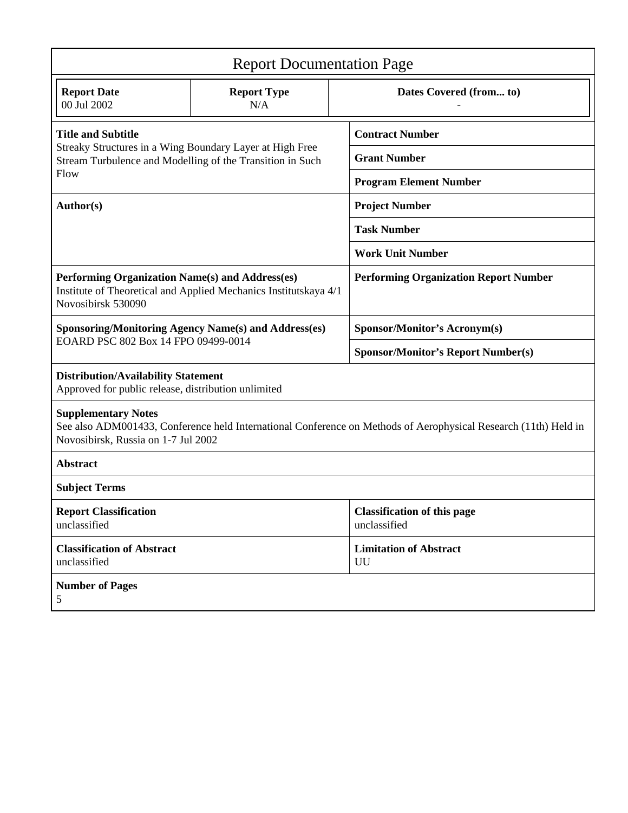| <b>Report Documentation Page</b>                                                                                                                                                     |                           |                                                    |
|--------------------------------------------------------------------------------------------------------------------------------------------------------------------------------------|---------------------------|----------------------------------------------------|
| <b>Report Date</b><br>00 Jul 2002                                                                                                                                                    | <b>Report Type</b><br>N/A | Dates Covered (from to)                            |
| <b>Title and Subtitle</b>                                                                                                                                                            |                           | <b>Contract Number</b>                             |
| Streaky Structures in a Wing Boundary Layer at High Free<br>Stream Turbulence and Modelling of the Transition in Such<br>Flow                                                        |                           | <b>Grant Number</b>                                |
|                                                                                                                                                                                      |                           | <b>Program Element Number</b>                      |
| Author(s)                                                                                                                                                                            |                           | <b>Project Number</b>                              |
|                                                                                                                                                                                      |                           | <b>Task Number</b>                                 |
|                                                                                                                                                                                      |                           | <b>Work Unit Number</b>                            |
| Performing Organization Name(s) and Address(es)<br>Institute of Theoretical and Applied Mechanics Institutskaya 4/1<br>Novosibirsk 530090                                            |                           | <b>Performing Organization Report Number</b>       |
| <b>Sponsoring/Monitoring Agency Name(s) and Address(es)</b><br>EOARD PSC 802 Box 14 FPO 09499-0014                                                                                   |                           | <b>Sponsor/Monitor's Acronym(s)</b>                |
|                                                                                                                                                                                      |                           | <b>Sponsor/Monitor's Report Number(s)</b>          |
| <b>Distribution/Availability Statement</b><br>Approved for public release, distribution unlimited                                                                                    |                           |                                                    |
| <b>Supplementary Notes</b><br>See also ADM001433, Conference held International Conference on Methods of Aerophysical Research (11th) Held in<br>Novosibirsk, Russia on 1-7 Jul 2002 |                           |                                                    |
| <b>Abstract</b>                                                                                                                                                                      |                           |                                                    |
| <b>Subject Terms</b>                                                                                                                                                                 |                           |                                                    |
| <b>Report Classification</b><br>unclassified                                                                                                                                         |                           | <b>Classification of this page</b><br>unclassified |
| <b>Classification of Abstract</b><br>unclassified                                                                                                                                    |                           | <b>Limitation of Abstract</b><br>UU                |
| <b>Number of Pages</b><br>5                                                                                                                                                          |                           |                                                    |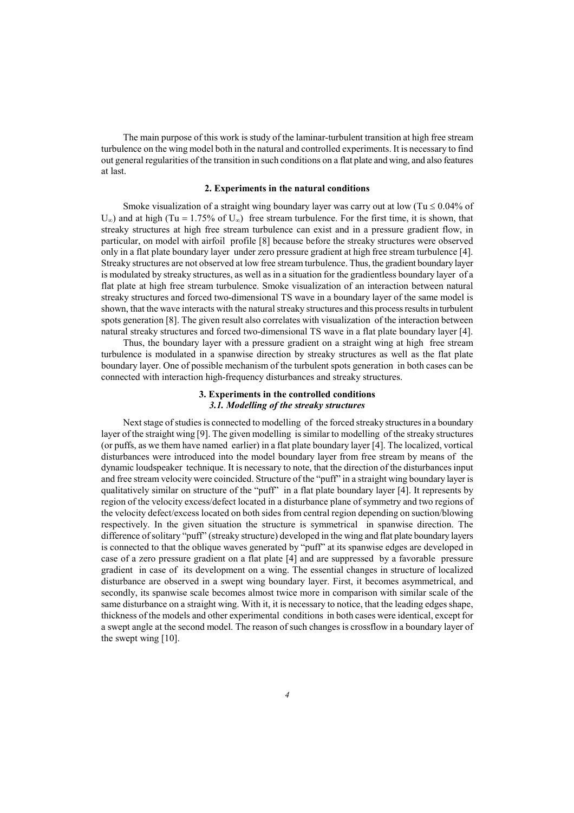The main purpose of this work is study of the laminar-turbulent transition at high free stream turbulence on the wing model both in the natural and controlled experiments. It is necessary to find out general regularities of the transition in such conditions on a flat plate and wing, and also features at last.

#### **2. Experiments in the natural conditions**

Smoke visualization of a straight wing boundary layer was carry out at low (Tu  $\leq 0.04\%$  of  $U_{\infty}$ ) and at high (Tu = 1.75% of  $U_{\infty}$ ) free stream turbulence. For the first time, it is shown, that streaky structures at high free stream turbulence can exist and in a pressure gradient flow, in particular, on model with airfoil profile [8] because before the streaky structures were observed only in a flat plate boundary layer under zero pressure gradient at high free stream turbulence [4]. Streaky structures are not observed at low free stream turbulence. Thus, the gradient boundary layer is modulated by streaky structures, as well as in a situation for the gradientless boundary layer of a flat plate at high free stream turbulence. Smoke visualization of an interaction between natural streaky structures and forced two-dimensional TS wave in a boundary layer of the same model is shown, that the wave interacts with the natural streaky structures and this process results in turbulent spots generation [8]. The given result also correlates with visualization of the interaction between natural streaky structures and forced two-dimensional TS wave in a flat plate boundary layer [4].

Thus, the boundary layer with a pressure gradient on a straight wing at high free stream turbulence is modulated in a spanwise direction by streaky structures as well as the flat plate boundary layer. One of possible mechanism of the turbulent spots generation in both cases can be connected with interaction high-frequency disturbances and streaky structures.

## **3. Experiments in the controlled conditions**  *3.1. Modelling of the streaky structures*

Next stage of studies is connected to modelling of the forced streaky structures in a boundary layer of the straight wing [9]. The given modelling is similar to modelling of the streaky structures (or puffs, as we them have named earlier) in a flat plate boundary layer [4]. The localized, vortical disturbances were introduced into the model boundary layer from free stream by means of the dynamic loudspeaker technique. It is necessary to note, that the direction of the disturbances input and free stream velocity were coincided. Structure of the "puff" in a straight wing boundary layer is qualitatively similar on structure of the "puff" in a flat plate boundary layer [4]. It represents by region of the velocity excess/defect located in a disturbance plane of symmetry and two regions of the velocity defect/excess located on both sides from central region depending on suction/blowing respectively. In the given situation the structure is symmetrical in spanwise direction. The difference of solitary "puff" (streaky structure) developed in the wing and flat plate boundary layers is connected to that the oblique waves generated by "puff" at its spanwise edges are developed in case of a zero pressure gradient on a flat plate [4] and are suppressed by a favorable pressure gradient in case of its development on a wing. The essential changes in structure of localized disturbance are observed in a swept wing boundary layer. First, it becomes asymmetrical, and secondly, its spanwise scale becomes almost twice more in comparison with similar scale of the same disturbance on a straight wing. With it, it is necessary to notice, that the leading edges shape, thickness of the models and other experimental conditions in both cases were identical, except for a swept angle at the second model. The reason of such changes is crossflow in a boundary layer of the swept wing [10].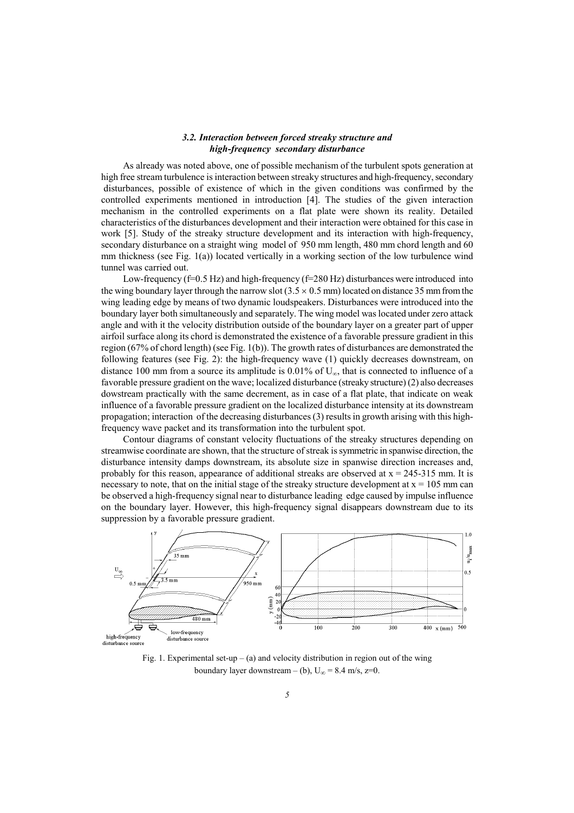#### *3.2. Interaction between forced streaky structure and high-frequency secondary disturbance*

As already was noted above, one of possible mechanism of the turbulent spots generation at high free stream turbulence is interaction between streaky structures and high-frequency, secondary disturbances, possible of existence of which in the given conditions was confirmed by the controlled experiments mentioned in introduction [4]. The studies of the given interaction mechanism in the controlled experiments on a flat plate were shown its reality. Detailed characteristics of the disturbances development and their interaction were obtained for this case in work [5]. Study of the streaky structure development and its interaction with high-frequency, secondary disturbance on a straight wing model of 950 mm length, 480 mm chord length and 60 mm thickness (see Fig. 1(a)) located vertically in a working section of the low turbulence wind tunnel was carried out.

Low-frequency (f=0.5 Hz) and high-frequency (f=280 Hz) disturbances were introduced into the wing boundary layer through the narrow slot  $(3.5 \times 0.5 \text{ mm})$  located on distance 35 mm from the wing leading edge by means of two dynamic loudspeakers. Disturbances were introduced into the boundary layer both simultaneously and separately. The wing model was located under zero attack angle and with it the velocity distribution outside of the boundary layer on a greater part of upper airfoil surface along its chord is demonstrated the existence of a favorable pressure gradient in this region (67% of chord length) (see Fig. 1(b)). The growth rates of disturbances are demonstrated the following features (see Fig. 2): the high-frequency wave (1) quickly decreases downstream, on distance 100 mm from a source its amplitude is  $0.01\%$  of U<sub>∞</sub>, that is connected to influence of a favorable pressure gradient on the wave; localized disturbance (streaky structure) (2) also decreases dowstream practically with the same decrement, as in case of a flat plate, that indicate on weak influence of a favorable pressure gradient on the localized disturbance intensity at its downstream propagation; interaction of the decreasing disturbances (3) results in growth arising with this highfrequency wave packet and its transformation into the turbulent spot.

Contour diagrams of constant velocity fluctuations of the streaky structures depending on streamwise coordinate are shown, that the structure of streak is symmetric in spanwise direction, the disturbance intensity damps downstream, its absolute size in spanwise direction increases and, probably for this reason, appearance of additional streaks are observed at  $x = 245-315$  mm. It is necessary to note, that on the initial stage of the streaky structure development at  $x = 105$  mm can be observed a high-frequency signal near to disturbance leading edge caused by impulse influence on the boundary layer. However, this high-frequency signal disappears downstream due to its suppression by a favorable pressure gradient.



Fig. 1. Experimental set-up – (a) and velocity distribution in region out of the wing boundary layer downstream – (b),  $U_{\infty}$  = 8.4 m/s, z=0.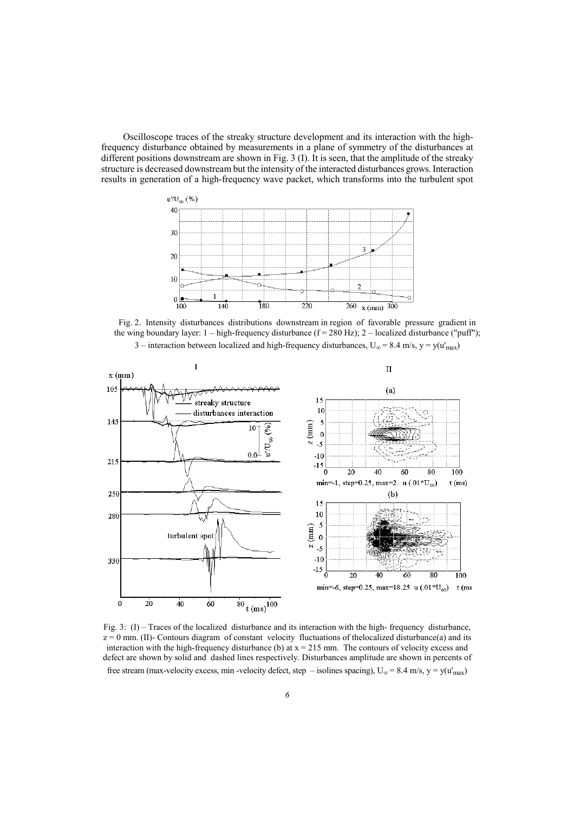Oscilloscope traces of the streaky structure development and its interaction with the highfrequency disturbance obtained by measurements in a plane of symmetry of the disturbances at different positions downstream are shown in Fig. 3 (I). It is seen, that the amplitude of the streaky structure is decreased downstream but the intensity of the interacted disturbances grows. Interaction results in generation of a high-frequency wave packet, which transforms into the turbulent spot



Fig. 2. Intensity disturbances distributions downstream in region of favorable pressure gradient in the wing boundary layer:  $1 - high-frequency$  disturbance (f = 280 Hz);  $2 - localized$  disturbance ("puff");



3 – interaction between localized and high-frequency disturbances,  $U_{\infty} = 8.4$  m/s, y = y(u'<sub>max</sub>)

Fig. 3: (I) – Traces of the localized disturbance and its interaction with the high- frequency disturbance,  $z = 0$  mm. (II)- Contours diagram of constant velocity fluctuations of the localized disturbance(a) and its interaction with the high-frequency disturbance (b) at  $x = 215$  mm. The contours of velocity excess and defect are shown by solid and dashed lines respectively. Disturbances amplitude are shown in percents of free stream (max-velocity excess, min -velocity defect, step – isolines spacing),  $U_{\infty} = 8.4$  m/s, y = y(u'<sub>max</sub>)